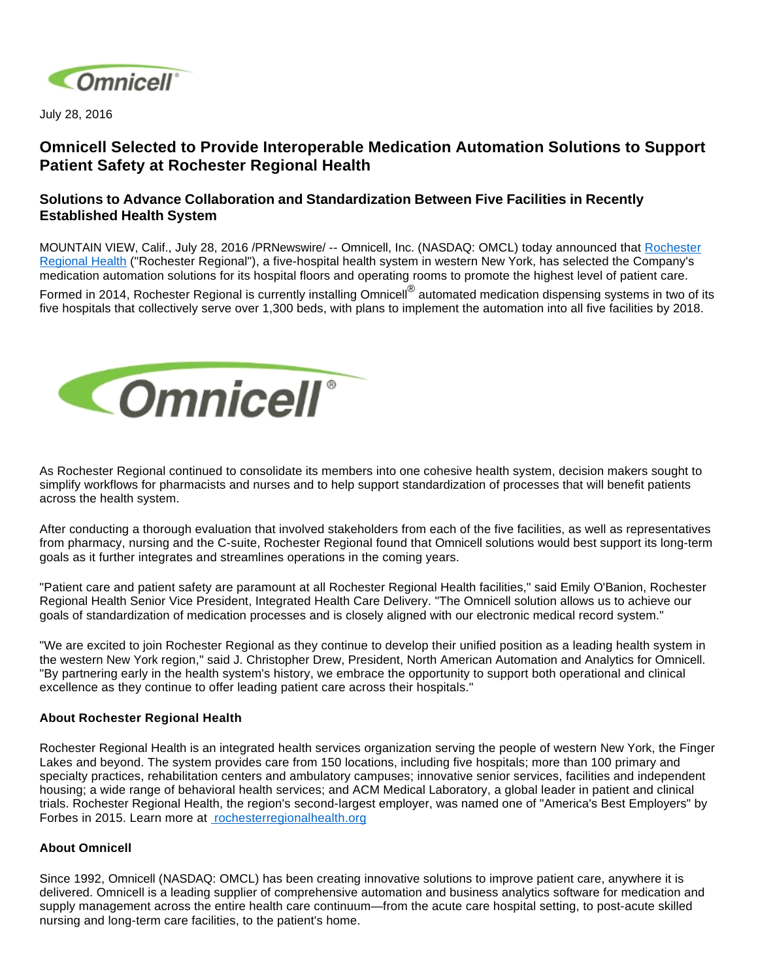

July 28, 2016

## **Omnicell Selected to Provide Interoperable Medication Automation Solutions to Support Patient Safety at Rochester Regional Health**

## **Solutions to Advance Collaboration and Standardization Between Five Facilities in Recently Established Health System**

MOUNTAIN VIEW, Calif., July 28, 2016 /PRNewswire/ -- Omnicell, Inc. (NASDAQ: OMCL) today announced that [Rochester](https://www.rochesterregional.org/)  [Regional Health](https://www.rochesterregional.org/) ("Rochester Regional"), a five-hospital health system in western New York, has selected the Company's medication automation solutions for its hospital floors and operating rooms to promote the highest level of patient care.

Formed in 2014, Rochester Regional is currently installing Omnicell<sup>®</sup> automated medication dispensing systems in two of its five hospitals that collectively serve over 1,300 beds, with plans to implement the automation into all five facilities by 2018.



As Rochester Regional continued to consolidate its members into one cohesive health system, decision makers sought to simplify workflows for pharmacists and nurses and to help support standardization of processes that will benefit patients across the health system.

After conducting a thorough evaluation that involved stakeholders from each of the five facilities, as well as representatives from pharmacy, nursing and the C-suite, Rochester Regional found that Omnicell solutions would best support its long-term goals as it further integrates and streamlines operations in the coming years.

"Patient care and patient safety are paramount at all Rochester Regional Health facilities," said Emily O'Banion, Rochester Regional Health Senior Vice President, Integrated Health Care Delivery. "The Omnicell solution allows us to achieve our goals of standardization of medication processes and is closely aligned with our electronic medical record system."

"We are excited to join Rochester Regional as they continue to develop their unified position as a leading health system in the western New York region," said J. Christopher Drew, President, North American Automation and Analytics for Omnicell. "By partnering early in the health system's history, we embrace the opportunity to support both operational and clinical excellence as they continue to offer leading patient care across their hospitals."

## **About Rochester Regional Health**

Rochester Regional Health is an integrated health services organization serving the people of western New York, the Finger Lakes and beyond. The system provides care from 150 locations, including five hospitals; more than 100 primary and specialty practices, rehabilitation centers and ambulatory campuses; innovative senior services, facilities and independent housing; a wide range of behavioral health services; and ACM Medical Laboratory, a global leader in patient and clinical trials. Rochester Regional Health, the region's second-largest employer, was named one of "America's Best Employers" by Forbes in 2015. Learn more at [rochesterregionalhealth.org](http://rochesterregionalhealth.org/)

## **About Omnicell**

Since 1992, Omnicell (NASDAQ: OMCL) has been creating innovative solutions to improve patient care, anywhere it is delivered. Omnicell is a leading supplier of comprehensive automation and business analytics software for medication and supply management across the entire health care continuum—from the acute care hospital setting, to post-acute skilled nursing and long-term care facilities, to the patient's home.